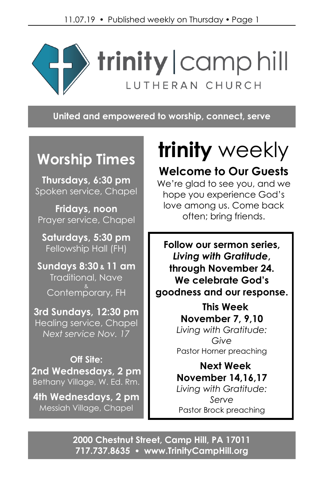

**United and empowered to worship, connect, serve**

## **Worship Times**

**Thursdays, 6:30 pm** Spoken service, Chapel

**Fridays, noon** Prayer service, Chapel

**Saturdays, 5:30 pm** Fellowship Hall (FH)

**Sundays 8:30 & 11 am** Traditional, Nave Contemp<sup>&</sup>

**3rd Sundays, 12:30 pm** Healing service, Chapel *Next service Nov. 17*

**Off Site: 2nd Wednesdays, 2 pm** Bethany Village, W. Ed. Rm.

**4th Wednesdays, 2 pm** Messiah Village, Chapel

# **trinity** weekly

## **Welcome to Our Guests**

We're glad to see you, and we hope you experience God's love among us. Come back often; bring friends.

**Follow our sermon series,** *Living with Gratitude***, through November 24. We celebrate God's goodness and our response.**

> **This Week November 7, 9,10** *Living with Gratitude: Give* Pastor Horner preaching

> **Next Week November 14,16,17** *Living with Gratitude: Serve* Pastor Brock preaching

**2000 Chestnut Street, Camp Hill, PA 17011 717.737.8635 [www.TrinityCampHill.org](http://www.trinitycamphill.org/)**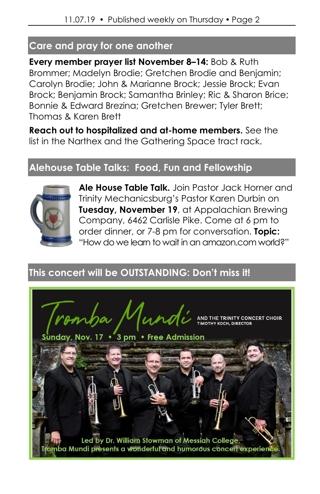## **Care and pray for one another**

**Every member prayer list November 8–14:** Bob & Ruth Brommer; Madelyn Brodie; Gretchen Brodie and Benjamin; Carolyn Brodie; John & Marianne Brock; Jessie Brock; Evan Brock; Benjamin Brock; Samantha Brinley; Ric & Sharon Brice; Bonnie & Edward Brezina; Gretchen Brewer; Tyler Brett; Thomas & Karen Brett

**Reach out to hospitalized and at-home members.** See the list in the Narthex and the Gathering Space tract rack.

## **Alehouse Table Talks: Food, Fun and Fellowship**



**Ale House Table Talk.** Join Pastor Jack Horner and Trinity Mechanicsburg's Pastor Karen Durbin on **Tuesday, November 19**, at Appalachian Brewing Company, 6462 Carlisle Pike. Come at 6 pm to order dinner, or 7-8 pm for conversation. **Topic:** "How do we learn to wait in an amazon.com world?"

## **This concert will be OUTSTANDING: Don't miss it!**

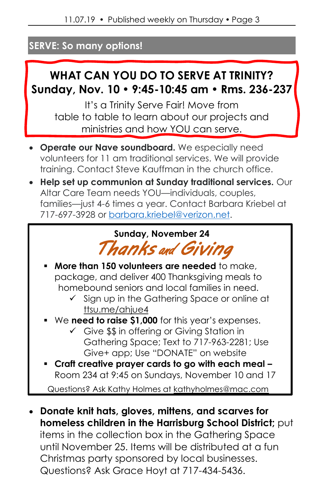## **SERVE: So many options!**

## **WHAT CAN YOU DO TO SERVE AT TRINITY? Sunday, Nov. 10 • 9:45-10:45 am • Rms. 236-237**

It's a Trinity Serve Fair! Move from table to table to learn about our projects and ministries and how YOU can serve.

- **Operate our Nave soundboard.** We especially need volunteers for 11 am traditional services. We will provide training. Contact Steve Kauffman in the church office.
- **Help set up communion at Sunday traditional services.** Our Altar Care Team needs YOU—individuals, couples, families—just 4-6 times a year. Contact Barbara Kriebel at 717-697-3928 or [barbara.kriebel@verizon.net.](mailto:barbara.kriebel@verizon.net)

**Sunday, November 24** *Thanks* and *Giving*

- **More than 150 volunteers are needed** to make, package, and deliver 400 Thanksgiving meals to homebound seniors and local families in need.
	- Sign up in the Gathering Space or online at [ttsu.me/ahjue4](https://ttsu.me/ahjue4)
- We **need to raise \$1,000** for this year's expenses.
	- ✓ Give \$\$ in offering or Giving Station in Gathering Space; Text to 717-963-2281; Use Give+ app; Use "DONATE" on website
- **Craft creative prayer cards to go with each meal –** Room 234 at 9:45 on Sundays, November 10 and 17

Questions? Ask Kathy Holmes at [kathyholmes@mac.com](mailto:kathyholmes@mac.com)

• **Donate knit hats, gloves, mittens, and scarves for homeless children in the Harrisburg School District;** put items in the collection box in the Gathering Space until November 25. Items will be distributed at a fun Christmas party sponsored by local businesses. Questions? Ask Grace Hoyt at 717-434-5436.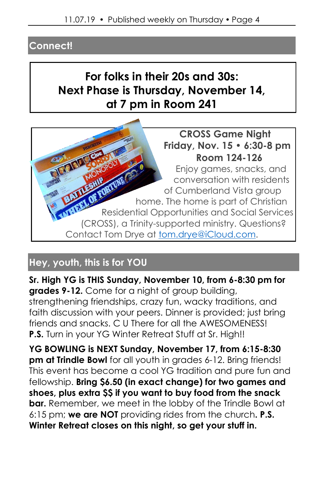## **Connect!**

## **For folks in their 20s and 30s: Next Phase is Thursday, November 14, at 7 pm in Room 241**



## **Hey, youth, this is for YOU**

**Sr. High YG is THIS Sunday, November 10, from 6-8:30 pm for grades 9-12.** Come for a night of group building, strengthening friendships, crazy fun, wacky traditions, and faith discussion with your peers. Dinner is provided; just bring friends and snacks. C U There for all the AWESOMENESS! **P.S.** Turn in your YG Winter Retreat Stuff at Sr. High!!

**YG BOWLING is NEXT Sunday, November 17, from 6:15-8:30 pm at Trindle Bowl** for all youth in grades 6-12. Bring friends! This event has become a cool YG tradition and pure fun and fellowship. **Bring \$6.50 (in exact change) for two games and shoes, plus extra \$\$ if you want to buy food from the snack bar.** Remember, we meet in the lobby of the Trindle Bowl at 6:15 pm; **we are NOT** providing rides from the church**. P.S. Winter Retreat closes on this night, so get your stuff in.**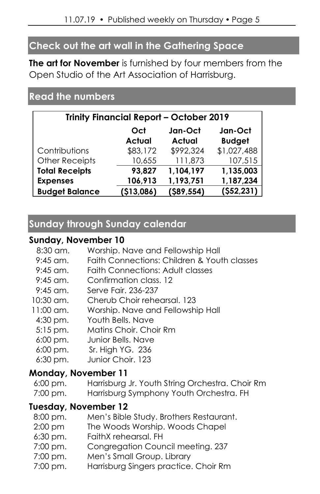## **Check out the art wall in the Gathering Space**

**The art for November** is furnished by four members from the Open Studio of the Art Association of Harrisburg.

## **Read the numbers**

| <b>Trinity Financial Report - October 2019</b> |                      |                          |                          |  |
|------------------------------------------------|----------------------|--------------------------|--------------------------|--|
|                                                | Oct<br><b>Actual</b> | Jan-Oct<br><b>Actual</b> | Jan-Oct<br><b>Budget</b> |  |
| Contributions                                  | \$83,172             | \$992,324                | \$1,027,488              |  |
| <b>Other Receipts</b>                          | 10,655               | 111,873                  | 107,515                  |  |
| <b>Total Receipts</b>                          | 93,827               | 1,104,197                | 1,135,003                |  |
| <b>Expenses</b>                                | 106,913              | 1,193,751                | 1,187,234                |  |
| <b>Budget Balance</b>                          | (\$13,086)           | $($ \$89,554)            | (552, 231)               |  |

## **Sunday through Sunday calendar**

#### **Sunday, November 10**

| 8:30 am.             | Worship. Nave and Fellowship Hall               |  |  |  |
|----------------------|-------------------------------------------------|--|--|--|
| $9:45$ am.           | Faith Connections: Children & Youth classes     |  |  |  |
| 9:45 am.             | <b>Faith Connections: Adult classes</b>         |  |  |  |
| 9:45 am.             | Confirmation class. 12                          |  |  |  |
| 9:45 am.             | Serve Fair. 236-237                             |  |  |  |
| 10:30 am.            | Cherub Choir rehearsal, 123                     |  |  |  |
| 11:00 am.            | Worship. Nave and Fellowship Hall               |  |  |  |
| $4:30$ pm.           | Youth Bells, Nave                               |  |  |  |
| $5:15$ pm.           | Matins Choir. Choir Rm                          |  |  |  |
| $6:00 \text{ pm}$ .  | Junior Bells, Nave                              |  |  |  |
| $6:00 \text{ pm}$ .  | Sr. High YG. 236                                |  |  |  |
| $6:30$ pm.           | Junior Choir, 123                               |  |  |  |
| Monday, November 11  |                                                 |  |  |  |
| 6:00 pm.             | Harrisburg Jr. Youth String Orchestra. Choir Rm |  |  |  |
| 7:00 pm.             | Harrisburg Symphony Youth Orchestra. FH         |  |  |  |
| Tuesday, November 12 |                                                 |  |  |  |
| 8:00 pm.             | Men's Bible Study. Brothers Restaurant.         |  |  |  |
| $2:00 \text{ pm}$    | The Woods Worship. Woods Chapel                 |  |  |  |
| $6:30$ pm.           | FaithX rehearsal. FH                            |  |  |  |
| 7:00 pm.             | Congregation Council meeting. 237               |  |  |  |
| 7:00 pm.             | Men's Small Group. Library                      |  |  |  |
| 7:00 pm.             | Harrisburg Singers practice. Choir Rm           |  |  |  |
|                      |                                                 |  |  |  |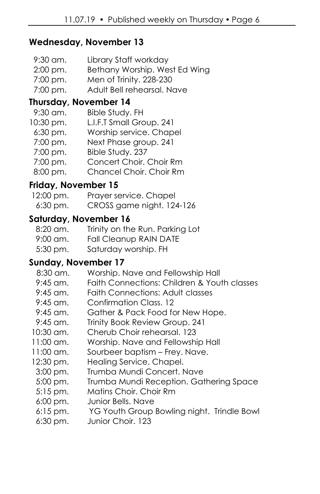#### **Wednesday, November 13**

- 9:30 am. Library Staff workday
- 2:00 pm. Bethany Worship. West Ed Wing
- 7:00 pm. Men of Trinity. 228-230
- 7:00 pm. Adult Bell rehearsal. Nave

#### **Thursday, November 14**

- 9:30 am. Bible Study. FH
- 10:30 pm. L.I.F.T Small Group. 241
	- 6:30 pm. Worship service. Chapel
	- 7:00 pm. Next Phase group. 241
	- 7:00 pm. Bible Study. 237
	- 7:00 pm. Concert Choir. Choir Rm
	- 8:00 pm. Chancel Choir. Choir Rm

#### **Friday, November 15**

| 12:00 pm.  | Prayer service. Chapel    |
|------------|---------------------------|
| $6:30$ pm. | CROSS game night. 124-126 |

#### **Saturday, November 16**

- 8:20 am. Trinity on the Run. Parking Lot
- 9:00 am. Fall Cleanup RAIN DATE
- 5:30 pm. Saturday worship. FH

#### **Sunday, November 17**

- 8:30 am. Worship. Nave and Fellowship Hall
- 9:45 am. Faith Connections: Children & Youth classes
- 9:45 am. Faith Connections: Adult classes
- 9:45 am. Confirmation Class. 12
- 9:45 am. Gather & Pack Food for New Hope.
- 9:45 am. Trinity Book Review Group. 241
- 10:30 am. Cherub Choir rehearsal. 123
- 11:00 am. Worship. Nave and Fellowship Hall
- 11:00 am. Sourbeer baptism Frey. Nave.
- 12:30 pm. Healing Service. Chapel.
- 3:00 pm. Trumba Mundi Concert. Nave
- 5:00 pm. Trumba Mundi Reception. Gathering Space
- 5:15 pm. Matins Choir. Choir Rm
- 6:00 pm. Junior Bells. Nave
- 6:15 pm. YG Youth Group Bowling night. Trindle Bowl
- 6:30 pm. Junior Choir. 123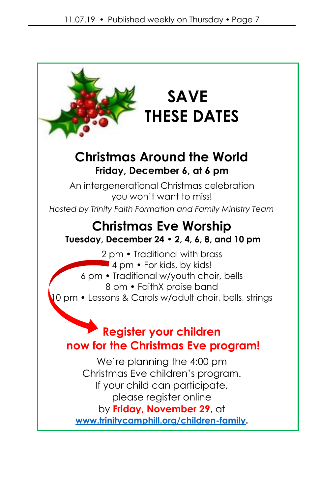